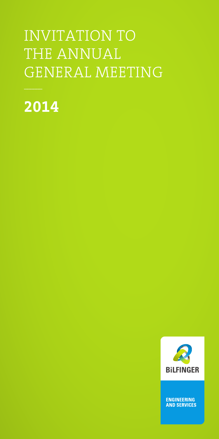# INVITATION TO THE ANNUAL GENERAL MEETING

**2014**



ENGINEERING<br>AND SERVICES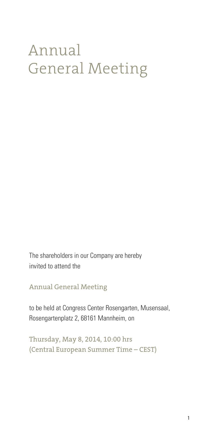# Annual General Meeting

The shareholders in our Company are hereby invited to attend the

Annual General Meeting

to be held at Congress Center Rosengarten, Musensaal, Rosengartenplatz 2, 68161 Mannheim, on

Thursday, May 8, 2014, 10:00 hrs (Central European Summer Time – CEST)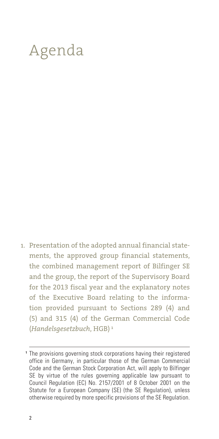# Agenda

Presentation of the adopted annual financial state-1.ments, the approved group financial statements, the combined management report of Bilfinger SE and the group, the report of the Supervisory Board for the 2013 fiscal year and the explanatory notes of the Executive Board relating to the information provided pursuant to Sections 289 (4) and (5) and 315 (4) of the German Commercial Code (*Handelsgesetzbuch*, HGB) **<sup>1</sup>**

The provisions governing stock corporations having their registered **1** office in Germany, in particular those of the German Commercial Code and the German Stock Corporation Act, will apply to Bilfinger SE by virtue of the rules governing applicable law pursuant to Council Regulation (EC) No. 2157/2001 of 8 October 2001 on the Statute for a European Company (SE) (the SE Regulation), unless otherwise required by more specific provisions of the SE Regulation.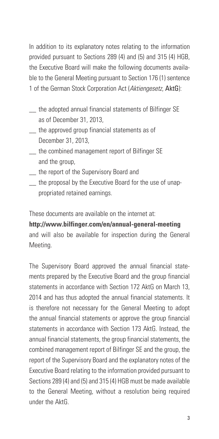In addition to its explanatory notes relating to the information provided pursuant to Sections 289 (4) and (5) and 315 (4) HGB, the Executive Board will make the following documents available to the General Meeting pursuant to Section 176 (1) sentence 1 of the German Stock Corporation Act (*Aktiengesetz*, AktG):

- \_\_ the adopted annual financial statements of Bilfinger SE as of December 31, 2013,
- \_\_ the approved group financial statements as of December 31, 2013,
- \_\_ the combined management report of Bilfinger SE and the group,
- \_\_ the report of the Supervisory Board and
- the proposal by the Executive Board for the use of unappropriated retained earnings.

These documents are available on the internet at:

**http://www.bilfinger.com/en/annual-general-meeting** and will also be available for inspection during the General Meeting.

The Supervisory Board approved the annual financial statements prepared by the Executive Board and the group financial statements in accordance with Section 172 AktG on March 13, 2014 and has thus adopted the annual financial statements. It is therefore not necessary for the General Meeting to adopt the annual financial statements or approve the group financial statements in accordance with Section 173 AktG. Instead, the annual financial statements, the group financial statements, the combined management report of Bilfinger SE and the group, the report of the Supervisory Board and the explanatory notes of the Executive Board relating to the information provided pursuant to Sections 289 (4) and (5) and 315 (4) HGB must be made available to the General Meeting, without a resolution being required under the AktG.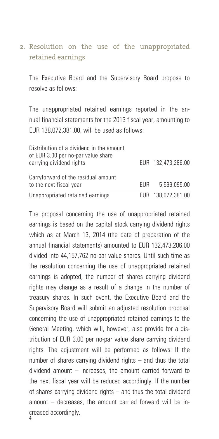#### 2. Resolution on the use of the unappropriated retained earnings

The Executive Board and the Supervisory Board propose to resolve as follows:

The unappropriated retained earnings reported in the annual financial statements for the 2013 fiscal year, amounting to EUR 138,072,381.00, will be used as follows:

| Distribution of a dividend in the amount<br>of EUR 3.00 per no-par value share |      |                    |
|--------------------------------------------------------------------------------|------|--------------------|
| carrying dividend rights                                                       |      | EUR 132.473.286.00 |
| Carryforward of the residual amount<br>to the next fiscal year                 | FUR. | 5.599.095.00       |
| Unappropriated retained earnings                                               |      | EUR 138,072,381.00 |

The proposal concerning the use of unappropriated retained earnings is based on the capital stock carrying dividend rights which as at March 13, 2014 (the date of preparation of the annual financial statements) amounted to EUR 132,473,286.00 divided into 44,157,762 no-par value shares. Until such time as the resolution concerning the use of unappropriated retained earnings is adopted, the number of shares carrying dividend rights may change as a result of a change in the number of treasury shares. In such event, the Executive Board and the Supervisory Board will submit an adjusted resolution proposal concerning the use of unappropriated retained earnings to the General Meeting, which will, however, also provide for a distribution of EUR 3.00 per no-par value share carrying dividend rights. The adjustment will be performed as follows: If the number of shares carrying dividend rights – and thus the total dividend amount – increases, the amount carried forward to the next fiscal year will be reduced accordingly. If the number of shares carrying dividend rights – and thus the total dividend amount – decreases, the amount carried forward will be increased accordingly.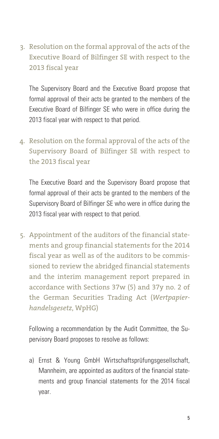3. Resolution on the formal approval of the acts of the Executive Board of Bilfinger SE with respect to the 2013 fiscal year

The Supervisory Board and the Executive Board propose that formal approval of their acts be granted to the members of the Executive Board of Bilfinger SE who were in office during the 2013 fiscal year with respect to that period.

Resolution on the formal approval of the acts of the 4. Supervisory Board of Bilfinger SE with respect to the 2013 fiscal year

The Executive Board and the Supervisory Board propose that formal approval of their acts be granted to the members of the Supervisory Board of Bilfinger SE who were in office during the 2013 fiscal year with respect to that period.

Appointment of the auditors of the financial state-5.ments and group financial statements for the 2014 fiscal year as well as of the auditors to be commissioned to review the abridged financial statements and the interim management report prepared in accordance with Sections 37w (5) and 37y no. 2 of the German Securities Trading Act (*Wertpapierhandelsgesetz*, WpHG)

Following a recommendation by the Audit Committee, the Supervisory Board proposes to resolve as follows:

a) Ernst & Young GmbH Wirtschaftsprüfungsgesellschaft, Mannheim, are appointed as auditors of the financial statements and group financial statements for the 2014 fiscal year.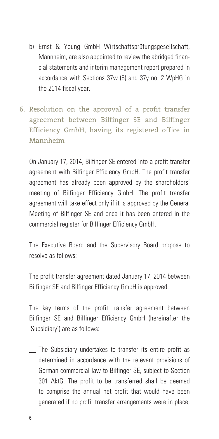- b) Ernst & Young GmbH Wirtschaftsprüfungsgesellschaft, Mannheim, are also appointed to review the abridged financial statements and interim management report prepared in accordance with Sections 37w (5) and 37y no. 2 WpHG in the 2014 fiscal year.
- 6. Resolution on the approval of a profit transfer agreement between Bilfinger SE and Bilfinger Efficiency GmbH, having its registered office in Mannheim

On January 17, 2014, Bilfinger SE entered into a profit transfer agreement with Bilfinger Efficiency GmbH. The profit transfer agreement has already been approved by the shareholders' meeting of Bilfinger Efficiency GmbH. The profit transfer agreement will take effect only if it is approved by the General Meeting of Bilfinger SE and once it has been entered in the commercial register for Bilfinger Efficiency GmbH.

The Executive Board and the Supervisory Board propose to resolve as follows:

The profit transfer agreement dated January 17, 2014 between Bilfinger SE and Bilfinger Efficiency GmbH is approved.

The key terms of the profit transfer agreement between Bilfinger SE and Bilfinger Efficiency GmbH (hereinafter the 'Subsidiary') are as follows:

The Subsidiary undertakes to transfer its entire profit as determined in accordance with the relevant provisions of German commercial law to Bilfinger SE, subject to Section 301 AktG. The profit to be transferred shall be deemed to comprise the annual net profit that would have been generated if no profit transfer arrangements were in place,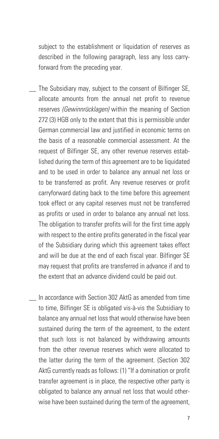subject to the establishment or liquidation of reserves as described in the following paragraph, less any loss carryforward from the preceding year.

- The Subsidiary may, subject to the consent of Bilfinger SE, allocate amounts from the annual net profit to revenue reserves *(Gewinnrücklagen)* within the meaning of Section 272 (3) HGB only to the extent that this is permissible under German commercial law and justified in economic terms on the basis of a reasonable commercial assessment. At the request of Bilfinger SE, any other revenue reserves established during the term of this agreement are to be liquidated and to be used in order to balance any annual net loss or to be transferred as profit. Any revenue reserves or profit carryforward dating back to the time before this agreement took effect or any capital reserves must not be transferred as profits or used in order to balance any annual net loss. The obligation to transfer profits will for the first time apply with respect to the entire profits generated in the fiscal year of the Subsidiary during which this agreement takes effect and will be due at the end of each fiscal year. Bilfinger SE may request that profits are transferred in advance if and to the extent that an advance dividend could be paid out.
- \_\_ In accordance with Section 302 AktG as amended from time to time, Bilfinger SE is obligated vis-à-vis the Subsidiary to balance any annual net loss that would otherwise have been sustained during the term of the agreement, to the extent that such loss is not balanced by withdrawing amounts from the other revenue reserves which were allocated to the latter during the term of the agreement. (Section 302 AktG currently reads as follows: (1) "If a domination or profit transfer agreement is in place, the respective other party is obligated to balance any annual net loss that would otherwise have been sustained during the term of the agreement,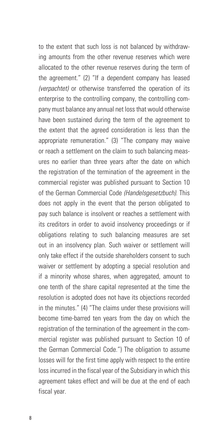to the extent that such loss is not balanced by withdrawing amounts from the other revenue reserves which were allocated to the other revenue reserves during the term of the agreement." (2) "If a dependent company has leased *(verpachtet)* or otherwise transferred the operation of its enterprise to the controlling company, the controlling company must balance any annual net loss that would otherwise have been sustained during the term of the agreement to the extent that the agreed consideration is less than the appropriate remuneration." (3) "The company may waive or reach a settlement on the claim to such balancing measures no earlier than three years after the date on which the registration of the termination of the agreement in the commercial register was published pursuant to Section 10 of the German Commercial Code *(Handelsgesetzbuch)*. This does not apply in the event that the person obligated to pay such balance is insolvent or reaches a settlement with its creditors in order to avoid insolvency proceedings or if obligations relating to such balancing measures are set out in an insolvency plan. Such waiver or settlement will only take effect if the outside shareholders consent to such waiver or settlement by adopting a special resolution and if a minority whose shares, when aggregated, amount to one tenth of the share capital represented at the time the resolution is adopted does not have its objections recorded in the minutes." (4) "The claims under these provisions will become time-barred ten years from the day on which the registration of the termination of the agreement in the commercial register was published pursuant to Section 10 of the German Commercial Code.") The obligation to assume losses will for the first time apply with respect to the entire loss incurred in the fiscal year of the Subsidiary in which this agreement takes effect and will be due at the end of each fiscal year.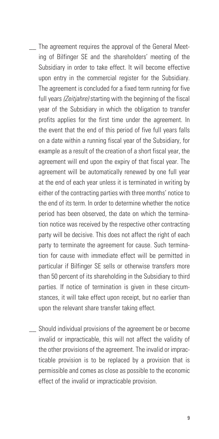- The agreement requires the approval of the General Meeting of Bilfinger SE and the shareholders' meeting of the Subsidiary in order to take effect. It will become effective upon entry in the commercial register for the Subsidiary. The agreement is concluded for a fixed term running for five full years *(Zeitjahre)* starting with the beginning of the fiscal year of the Subsidiary in which the obligation to transfer profits applies for the first time under the agreement. In the event that the end of this period of five full years falls on a date within a running fiscal year of the Subsidiary, for example as a result of the creation of a short fiscal year, the agreement will end upon the expiry of that fiscal year. The agreement will be automatically renewed by one full year at the end of each year unless it is terminated in writing by either of the contracting parties with three months' notice to the end of its term. In order to determine whether the notice period has been observed, the date on which the termination notice was received by the respective other contracting party will be decisive. This does not affect the right of each party to terminate the agreement for cause. Such termination for cause with immediate effect will be permitted in particular if Bilfinger SE sells or otherwise transfers more than 50 percent of its shareholding in the Subsidiary to third parties. If notice of termination is given in these circumstances, it will take effect upon receipt, but no earlier than upon the relevant share transfer taking effect.
- \_\_ Should individual provisions of the agreement be or become invalid or impracticable, this will not affect the validity of the other provisions of the agreement. The invalid or impracticable provision is to be replaced by a provision that is permissible and comes as close as possible to the economic effect of the invalid or impracticable provision.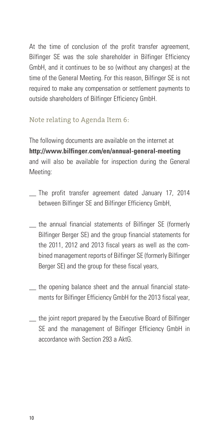At the time of conclusion of the profit transfer agreement. Bilfinger SE was the sole shareholder in Bilfinger Efficiency GmbH, and it continues to be so (without any changes) at the time of the General Meeting. For this reason, Bilfinger SE is not required to make any compensation or settlement payments to outside shareholders of Bilfinger Efficiency GmbH.

#### Note relating to Agenda Item 6:

The following documents are available on the internet at **http://www.bilfinger.com/en/annual-general-meeting** and will also be available for inspection during the General Meeting:

- The profit transfer agreement dated January 17, 2014 between Bilfinger SE and Bilfinger Efficiency GmbH,
- the annual financial statements of Bilfinger SE (formerly Bilfinger Berger SE) and the group financial statements for the 2011, 2012 and 2013 fiscal years as well as the combined management reports of Bilfinger SE (formerly Bilfinger Berger SE) and the group for these fiscal years,
- \_\_ the opening balance sheet and the annual financial statements for Bilfinger Efficiency GmbH for the 2013 fiscal year,
- the joint report prepared by the Executive Board of Bilfinger SE and the management of Bilfinger Efficiency GmbH in accordance with Section 293 a AktG.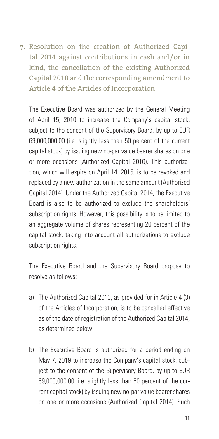7. Resolution on the creation of Authorized Capital 2014 against contributions in cash and/or in kind, the cancellation of the existing Authorized Capital 2010 and the corresponding amendment to Article 4 of the Articles of Incorporation

The Executive Board was authorized by the General Meeting of April 15, 2010 to increase the Company's capital stock, subject to the consent of the Supervisory Board, by up to EUR 69,000,000.00 (i.e. slightly less than 50 percent of the current capital stock) by issuing new no-par value bearer shares on one or more occasions (Authorized Capital 2010). This authorization, which will expire on April 14, 2015, is to be revoked and replaced by a new authorization in the same amount (Authorized Capital 2014). Under the Authorized Capital 2014, the Executive Board is also to be authorized to exclude the shareholders' subscription rights. However, this possibility is to be limited to an aggregate volume of shares representing 20 percent of the capital stock, taking into account all authorizations to exclude subscription rights.

The Executive Board and the Supervisory Board propose to resolve as follows:

- a) The Authorized Capital 2010, as provided for in Article 4 (3) of the Articles of Incorporation, is to be cancelled effective as of the date of registration of the Authorized Capital 2014, as determined below.
- b) The Executive Board is authorized for a period ending on May 7, 2019 to increase the Company's capital stock, subject to the consent of the Supervisory Board, by up to EUR 69,000,000.00 (i.e. slightly less than 50 percent of the current capital stock) by issuing new no-par value bearer shares on one or more occasions (Authorized Capital 2014). Such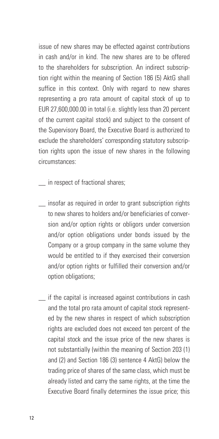issue of new shares may be effected against contributions in cash and/or in kind. The new shares are to be offered to the shareholders for subscription. An indirect subscription right within the meaning of Section 186 (5) AktG shall suffice in this context. Only with regard to new shares representing a pro rata amount of capital stock of up to EUR 27,600,000.00 in total (i.e. slightly less than 20 percent of the current capital stock) and subject to the consent of the Supervisory Board, the Executive Board is authorized to exclude the shareholders' corresponding statutory subscription rights upon the issue of new shares in the following circumstances:

in respect of fractional shares;

- \_\_ insofar as required in order to grant subscription rights to new shares to holders and/or beneficiaries of conversion and/or option rights or obligors under conversion and/or option obligations under bonds issued by the Company or a group company in the same volume they would be entitled to if they exercised their conversion and/or option rights or fulfilled their conversion and/or option obligations;
- if the capital is increased against contributions in cash and the total pro rata amount of capital stock represented by the new shares in respect of which subscription rights are excluded does not exceed ten percent of the capital stock and the issue price of the new shares is not substantially (within the meaning of Section 203 (1) and (2) and Section 186 (3) sentence 4 AktG) below the trading price of shares of the same class, which must be already listed and carry the same rights, at the time the Executive Board finally determines the issue price; this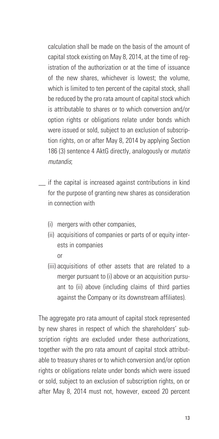calculation shall be made on the basis of the amount of capital stock existing on May 8, 2014, at the time of registration of the authorization or at the time of issuance of the new shares, whichever is lowest; the volume, which is limited to ten percent of the capital stock, shall be reduced by the pro rata amount of capital stock which is attributable to shares or to which conversion and/or option rights or obligations relate under bonds which were issued or sold, subject to an exclusion of subscription rights, on or after May 8, 2014 by applying Section 186 (3) sentence 4 AktG directly, analogously or *mutatis mutandis*;

- \_\_ if the capital is increased against contributions in kind for the purpose of granting new shares as consideration in connection with
	- (i) mergers with other companies,
	- (ii) acquisitions of companies or parts of or equity interests in companies
		- or
	- (iii) acquisitions of other assets that are related to a merger pursuant to (i) above or an acquisition pursuant to (ii) above (including claims of third parties against the Company or its downstream affiliates).

 The aggregate pro rata amount of capital stock represented by new shares in respect of which the shareholders' subscription rights are excluded under these authorizations, together with the pro rata amount of capital stock attributable to treasury shares or to which conversion and/or option rights or obligations relate under bonds which were issued or sold, subject to an exclusion of subscription rights, on or after May 8, 2014 must not, however, exceed 20 percent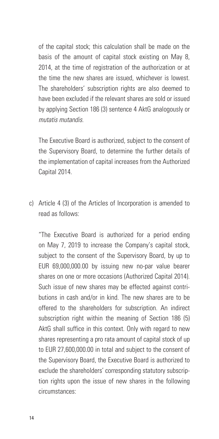of the capital stock; this calculation shall be made on the basis of the amount of capital stock existing on May 8, 2014, at the time of registration of the authorization or at the time the new shares are issued, whichever is lowest. The shareholders' subscription rights are also deemed to have been excluded if the relevant shares are sold or issued by applying Section 186 (3) sentence 4 AktG analogously or *mutatis mutandis*.

 The Executive Board is authorized, subject to the consent of the Supervisory Board, to determine the further details of the implementation of capital increases from the Authorized Capital 2014.

c) Article 4 (3) of the Articles of Incorporation is amended to read as follows:

 "The Executive Board is authorized for a period ending on May 7, 2019 to increase the Company's capital stock, subject to the consent of the Supervisory Board, by up to EUR 69,000,000.00 by issuing new no-par value bearer shares on one or more occasions (Authorized Capital 2014). Such issue of new shares may be effected against contributions in cash and/or in kind. The new shares are to be offered to the shareholders for subscription. An indirect subscription right within the meaning of Section 186 (5) AktG shall suffice in this context. Only with regard to new shares representing a pro rata amount of capital stock of up to EUR 27,600,000.00 in total and subject to the consent of the Supervisory Board, the Executive Board is authorized to exclude the shareholders' corresponding statutory subscription rights upon the issue of new shares in the following circumstances: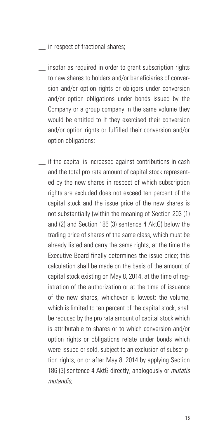\_\_ in respect of fractional shares;

- insofar as required in order to grant subscription rights to new shares to holders and/or beneficiaries of conversion and/or option rights or obligors under conversion and/or option obligations under bonds issued by the Company or a group company in the same volume they would be entitled to if they exercised their conversion and/or option rights or fulfilled their conversion and/or option obligations;
- if the capital is increased against contributions in cash and the total pro rata amount of capital stock represented by the new shares in respect of which subscription rights are excluded does not exceed ten percent of the capital stock and the issue price of the new shares is not substantially (within the meaning of Section 203 (1) and (2) and Section 186 (3) sentence 4 AktG) below the trading price of shares of the same class, which must be already listed and carry the same rights, at the time the Executive Board finally determines the issue price; this calculation shall be made on the basis of the amount of capital stock existing on May 8, 2014, at the time of registration of the authorization or at the time of issuance of the new shares, whichever is lowest; the volume which is limited to ten percent of the capital stock, shall be reduced by the pro rata amount of capital stock which is attributable to shares or to which conversion and/or option rights or obligations relate under bonds which were issued or sold, subject to an exclusion of subscription rights, on or after May 8, 2014 by applying Section 186 (3) sentence 4 AktG directly, analogously or *mutatis mutandis*;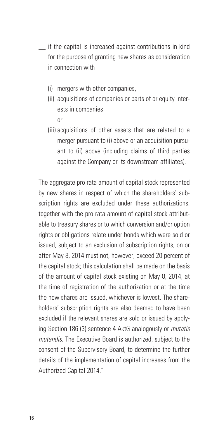- \_\_ if the capital is increased against contributions in kind for the purpose of granting new shares as consideration in connection with
	- (i) mergers with other companies,
	- (ii) acquisitions of companies or parts of or equity interests in companies or
	- (iii) acquisitions of other assets that are related to a merger pursuant to (i) above or an acquisition pursuant to (ii) above (including claims of third parties against the Company or its downstream affiliates).

The aggregate pro rata amount of capital stock represented by new shares in respect of which the shareholders' subscription rights are excluded under these authorizations, together with the pro rata amount of capital stock attributable to treasury shares or to which conversion and/or option rights or obligations relate under bonds which were sold or issued, subject to an exclusion of subscription rights, on or after May 8, 2014 must not, however, exceed 20 percent of the capital stock; this calculation shall be made on the basis of the amount of capital stock existing on May 8, 2014, at the time of registration of the authorization or at the time the new shares are issued, whichever is lowest. The shareholders' subscription rights are also deemed to have been excluded if the relevant shares are sold or issued by applying Section 186 (3) sentence 4 AktG analogously or *mutatis mutandis*. The Executive Board is authorized, subject to the consent of the Supervisory Board, to determine the further details of the implementation of capital increases from the Authorized Capital 2014."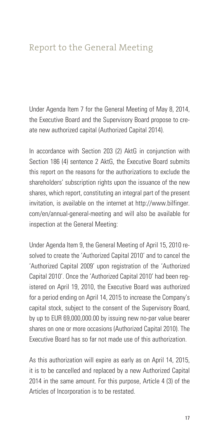## Report to the General Meeting

Under Agenda Item 7 for the General Meeting of May 8, 2014, the Executive Board and the Supervisory Board propose to create new authorized capital (Authorized Capital 2014).

In accordance with Section 203 (2) AktG in conjunction with Section 186 (4) sentence 2 AktG, the Executive Board submits this report on the reasons for the authorizations to exclude the shareholders' subscription rights upon the issuance of the new shares, which report, constituting an integral part of the present invitation, is available on the internet at http://www.bilfinger. com/en/annual-general-meeting and will also be available for inspection at the General Meeting:

Under Agenda Item 9, the General Meeting of April 15, 2010 resolved to create the 'Authorized Capital 2010' and to cancel the 'Authorized Capital 2009' upon registration of the 'Authorized Capital 2010'. Once the 'Authorized Capital 2010' had been registered on April 19, 2010, the Executive Board was authorized for a period ending on April 14, 2015 to increase the Company's capital stock, subject to the consent of the Supervisory Board, by up to EUR 69,000,000.00 by issuing new no-par value bearer shares on one or more occasions (Authorized Capital 2010). The Executive Board has so far not made use of this authorization.

As this authorization will expire as early as on April 14, 2015, it is to be cancelled and replaced by a new Authorized Capital 2014 in the same amount. For this purpose, Article 4 (3) of the Articles of Incorporation is to be restated.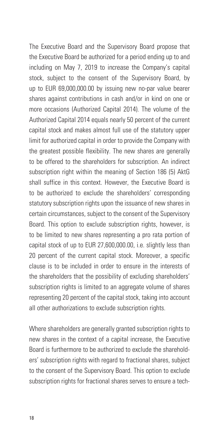The Executive Board and the Supervisory Board propose that the Executive Board be authorized for a period ending up to and including on May 7, 2019 to increase the Company's capital stock, subject to the consent of the Supervisory Board, by up to EUR 69,000,000.00 by issuing new no-par value bearer shares against contributions in cash and/or in kind on one or more occasions (Authorized Capital 2014). The volume of the Authorized Capital 2014 equals nearly 50 percent of the current capital stock and makes almost full use of the statutory upper limit for authorized capital in order to provide the Company with the greatest possible flexibility. The new shares are generally to be offered to the shareholders for subscription. An indirect subscription right within the meaning of Section 186 (5) AktG shall suffice in this context. However, the Executive Board is to be authorized to exclude the shareholders' corresponding statutory subscription rights upon the issuance of new shares in certain circumstances, subject to the consent of the Supervisory Board. This option to exclude subscription rights, however, is to be limited to new shares representing a pro rata portion of capital stock of up to EUR 27,600,000.00, i.e. slightly less than 20 percent of the current capital stock. Moreover, a specific clause is to be included in order to ensure in the interests of the shareholders that the possibility of excluding shareholders' subscription rights is limited to an aggregate volume of shares representing 20 percent of the capital stock, taking into account all other authorizations to exclude subscription rights.

Where shareholders are generally granted subscription rights to new shares in the context of a capital increase, the Executive Board is furthermore to be authorized to exclude the shareholders' subscription rights with regard to fractional shares, subject to the consent of the Supervisory Board. This option to exclude subscription rights for fractional shares serves to ensure a tech-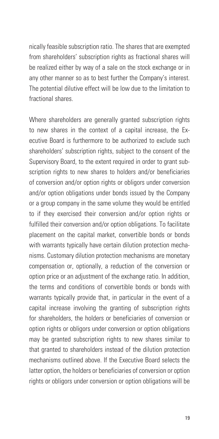nically feasible subscription ratio. The shares that are exempted from shareholders' subscription rights as fractional shares will be realized either by way of a sale on the stock exchange or in any other manner so as to best further the Company's interest. The potential dilutive effect will be low due to the limitation to fractional shares.

Where shareholders are generally granted subscription rights to new shares in the context of a capital increase, the Executive Board is furthermore to be authorized to exclude such shareholders' subscription rights, subject to the consent of the Supervisory Board, to the extent required in order to grant subscription rights to new shares to holders and/or beneficiaries of conversion and/or option rights or obligors under conversion and/or option obligations under bonds issued by the Company or a group company in the same volume they would be entitled to if they exercised their conversion and/or option rights or fulfilled their conversion and/or option obligations. To facilitate placement on the capital market, convertible bonds or bonds with warrants typically have certain dilution protection mechanisms. Customary dilution protection mechanisms are monetary compensation or, optionally, a reduction of the conversion or option price or an adjustment of the exchange ratio. In addition, the terms and conditions of convertible bonds or bonds with warrants typically provide that, in particular in the event of a capital increase involving the granting of subscription rights for shareholders, the holders or beneficiaries of conversion or option rights or obligors under conversion or option obligations may be granted subscription rights to new shares similar to that granted to shareholders instead of the dilution protection mechanisms outlined above. If the Executive Board selects the latter option, the holders or beneficiaries of conversion or option rights or obligors under conversion or option obligations will be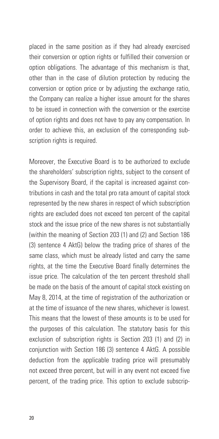placed in the same position as if they had already exercised their conversion or option rights or fulfilled their conversion or option obligations. The advantage of this mechanism is that, other than in the case of dilution protection by reducing the conversion or option price or by adjusting the exchange ratio, the Company can realize a higher issue amount for the shares to be issued in connection with the conversion or the exercise of option rights and does not have to pay any compensation. In order to achieve this, an exclusion of the corresponding subscription rights is required.

Moreover, the Executive Board is to be authorized to exclude the shareholders' subscription rights, subject to the consent of the Supervisory Board, if the capital is increased against contributions in cash and the total pro rata amount of capital stock represented by the new shares in respect of which subscription rights are excluded does not exceed ten percent of the capital stock and the issue price of the new shares is not substantially (within the meaning of Section 203 (1) and (2) and Section 186 (3) sentence 4 AktG) below the trading price of shares of the same class, which must be already listed and carry the same rights, at the time the Executive Board finally determines the issue price. The calculation of the ten percent threshold shall be made on the basis of the amount of capital stock existing on May 8, 2014, at the time of registration of the authorization or at the time of issuance of the new shares, whichever is lowest. This means that the lowest of these amounts is to be used for the purposes of this calculation. The statutory basis for this exclusion of subscription rights is Section 203 (1) and (2) in conjunction with Section 186 (3) sentence 4 AktG. A possible deduction from the applicable trading price will presumably not exceed three percent, but will in any event not exceed five percent, of the trading price. This option to exclude subscrip-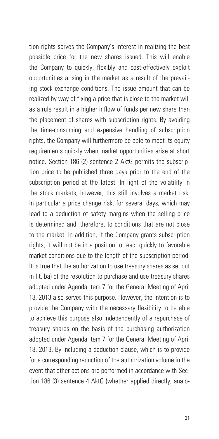tion rights serves the Company's interest in realizing the best possible price for the new shares issued. This will enable the Company to quickly, flexibly and cost-effectively exploit opportunities arising in the market as a result of the prevailing stock exchange conditions. The issue amount that can be realized by way of fixing a price that is close to the market will as a rule result in a higher inflow of funds per new share than the placement of shares with subscription rights. By avoiding the time-consuming and expensive handling of subscription rights, the Company will furthermore be able to meet its equity requirements quickly when market opportunities arise at short notice. Section 186 (2) sentence 2 AktG permits the subscription price to be published three days prior to the end of the subscription period at the latest. In light of the volatility in the stock markets, however, this still involves a market risk, in particular a price change risk, for several days, which may lead to a deduction of safety margins when the selling price is determined and, therefore, to conditions that are not close to the market. In addition, if the Company grants subscription rights, it will not be in a position to react quickly to favorable market conditions due to the length of the subscription period. It is true that the authorization to use treasury shares as set out in lit. ba) of the resolution to purchase and use treasury shares adopted under Agenda Item 7 for the General Meeting of April 18, 2013 also serves this purpose. However, the intention is to provide the Company with the necessary flexibility to be able to achieve this purpose also independently of a repurchase of treasury shares on the basis of the purchasing authorization adopted under Agenda Item 7 for the General Meeting of April 18, 2013. By including a deduction clause, which is to provide for a corresponding reduction of the authorization volume in the event that other actions are performed in accordance with Section 186 (3) sentence 4 AktG (whether applied directly, analo-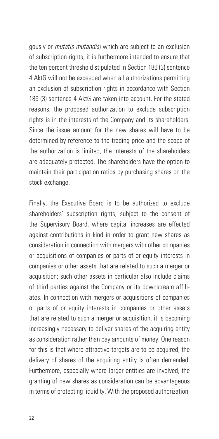gously or *mutatis mutandis*) which are subject to an exclusion of subscription rights, it is furthermore intended to ensure that the ten percent threshold stipulated in Section 186 (3) sentence 4 AktG will not be exceeded when all authorizations permitting an exclusion of subscription rights in accordance with Section 186 (3) sentence 4 AktG are taken into account. For the stated reasons, the proposed authorization to exclude subscription rights is in the interests of the Company and its shareholders. Since the issue amount for the new shares will have to be determined by reference to the trading price and the scope of the authorization is limited, the interests of the shareholders are adequately protected. The shareholders have the option to maintain their participation ratios by purchasing shares on the stock exchange.

Finally, the Executive Board is to be authorized to exclude shareholders' subscription rights, subject to the consent of the Supervisory Board, where capital increases are effected against contributions in kind in order to grant new shares as consideration in connection with mergers with other companies or acquisitions of companies or parts of or equity interests in companies or other assets that are related to such a merger or acquisition; such other assets in particular also include claims of third parties against the Company or its downstream affiliates. In connection with mergers or acquisitions of companies or parts of or equity interests in companies or other assets that are related to such a merger or acquisition, it is becoming increasingly necessary to deliver shares of the acquiring entity as consideration rather than pay amounts of money. One reason for this is that where attractive targets are to be acquired, the delivery of shares of the acquiring entity is often demanded. Furthermore, especially where larger entities are involved, the granting of new shares as consideration can be advantageous in terms of protecting liquidity. With the proposed authorization,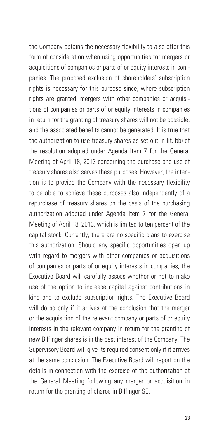the Company obtains the necessary flexibility to also offer this form of consideration when using opportunities for mergers or acquisitions of companies or parts of or equity interests in companies. The proposed exclusion of shareholders' subscription rights is necessary for this purpose since, where subscription rights are granted, mergers with other companies or acquisitions of companies or parts of or equity interests in companies in return for the granting of treasury shares will not be possible, and the associated benefits cannot be generated. It is true that the authorization to use treasury shares as set out in lit. bb) of the resolution adopted under Agenda Item 7 for the General Meeting of April 18, 2013 concerning the purchase and use of treasury shares also serves these purposes. However, the intention is to provide the Company with the necessary flexibility to be able to achieve these purposes also independently of a repurchase of treasury shares on the basis of the purchasing authorization adopted under Agenda Item 7 for the General Meeting of April 18, 2013, which is limited to ten percent of the capital stock. Currently, there are no specific plans to exercise this authorization. Should any specific opportunities open up with regard to mergers with other companies or acquisitions of companies or parts of or equity interests in companies, the Executive Board will carefully assess whether or not to make use of the option to increase capital against contributions in kind and to exclude subscription rights. The Executive Board will do so only if it arrives at the conclusion that the merger or the acquisition of the relevant company or parts of or equity interests in the relevant company in return for the granting of new Bilfinger shares is in the best interest of the Company. The Supervisory Board will give its required consent only if it arrives at the same conclusion. The Executive Board will report on the details in connection with the exercise of the authorization at the General Meeting following any merger or acquisition in return for the granting of shares in Bilfinger SE.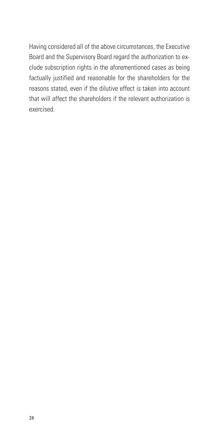Having considered all of the above circumstances, the Executive Board and the Supervisory Board regard the authorization to exclude subscription rights in the aforementioned cases as being factually justified and reasonable for the shareholders for the reasons stated, even if the dilutive effect is taken into account that will affect the shareholders if the relevant authorization is exercised.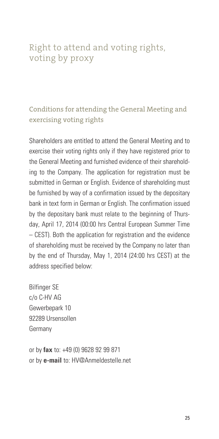## Right to attend and voting rights, voting by proxy

### Conditions for attending the General Meeting and exercising voting rights

Shareholders are entitled to attend the General Meeting and to exercise their voting rights only if they have registered prior to the General Meeting and furnished evidence of their shareholding to the Company. The application for registration must be submitted in German or English. Evidence of shareholding must be furnished by way of a confirmation issued by the depositary bank in text form in German or English. The confirmation issued by the depositary bank must relate to the beginning of Thursday, April 17, 2014 (00:00 hrs Central European Summer Time – CEST). Both the application for registration and the evidence of shareholding must be received by the Company no later than by the end of Thursday, May 1, 2014 (24:00 hrs CEST) at the address specified below:

Bilfinger SE c/o C-HV AG Gewerbepark 10 92289 Ursensollen Germany

or by **fax** to: +49 (0) 9628 92 99 871 or by **e-mail** to: HV@Anmeldestelle.net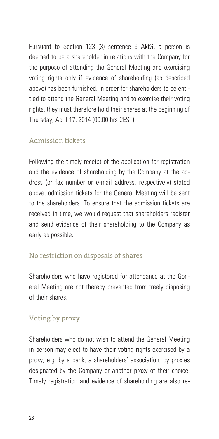Pursuant to Section 123 (3) sentence 6 AktG, a person is deemed to be a shareholder in relations with the Company for the purpose of attending the General Meeting and exercising voting rights only if evidence of shareholding (as described above) has been furnished. In order for shareholders to be entitled to attend the General Meeting and to exercise their voting rights, they must therefore hold their shares at the beginning of Thursday, April 17, 2014 (00:00 hrs CEST).

#### Admission tickets

Following the timely receipt of the application for registration and the evidence of shareholding by the Company at the address (or fax number or e-mail address, respectively) stated above, admission tickets for the General Meeting will be sent to the shareholders. To ensure that the admission tickets are received in time, we would request that shareholders register and send evidence of their shareholding to the Company as early as possible.

#### No restriction on disposals of shares

Shareholders who have registered for attendance at the General Meeting are not thereby prevented from freely disposing of their shares.

#### Voting by proxy

Shareholders who do not wish to attend the General Meeting in person may elect to have their voting rights exercised by a proxy, e.g. by a bank, a shareholders' association, by proxies designated by the Company or another proxy of their choice. Timely registration and evidence of shareholding are also re-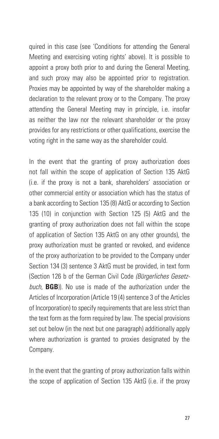quired in this case (see 'Conditions for attending the General Meeting and exercising voting rights' above). It is possible to appoint a proxy both prior to and during the General Meeting, and such proxy may also be appointed prior to registration. Proxies may be appointed by way of the shareholder making a declaration to the relevant proxy or to the Company. The proxy attending the General Meeting may in principle, i.e. insofar as neither the law nor the relevant shareholder or the proxy provides for any restrictions or other qualifications, exercise the voting right in the same way as the shareholder could.

In the event that the granting of proxy authorization does not fall within the scope of application of Section 135 AktG (i.e. if the proxy is not a bank, shareholders' association or other commercial entity or association which has the status of a bank according to Section 135 (8) AktG or according to Section 135 (10) in conjunction with Section 125 (5) AktG and the granting of proxy authorization does not fall within the scope of application of Section 135 AktG on any other grounds), the proxy authorization must be granted or revoked, and evidence of the proxy authorization to be provided to the Company under Section 134 (3) sentence 3 AktG must be provided, in text form (Section 126 b of the German Civil Code *(Bürgerliches Gesetzbuch*, **BGB**)). No use is made of the authorization under the Articles of Incorporation (Article 19 (4) sentence 3 of the Articles of Incorporation) to specify requirements that are less strict than the text form as the form required by law. The special provisions set out below (in the next but one paragraph) additionally apply where authorization is granted to proxies designated by the Company.

In the event that the granting of proxy authorization falls within the scope of application of Section 135 AktG (i.e. if the proxy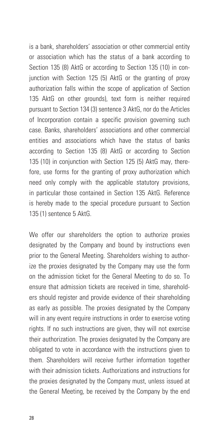is a bank, shareholders' association or other commercial entity or association which has the status of a bank according to Section 135 (8) AktG or according to Section 135 (10) in conjunction with Section 125 (5) AktG or the granting of proxy authorization falls within the scope of application of Section 135 AktG on other grounds), text form is neither required pursuant to Section 134 (3) sentence 3 AktG, nor do the Articles of Incorporation contain a specific provision governing such case. Banks, shareholders' associations and other commercial entities and associations which have the status of banks according to Section 135 (8) AktG or according to Section 135 (10) in conjunction with Section 125 (5) AktG may, therefore, use forms for the granting of proxy authorization which need only comply with the applicable statutory provisions, in particular those contained in Section 135 AktG. Reference is hereby made to the special procedure pursuant to Section 135 (1) sentence 5 AktG.

We offer our shareholders the option to authorize proxies designated by the Company and bound by instructions even prior to the General Meeting. Shareholders wishing to authorize the proxies designated by the Company may use the form on the admission ticket for the General Meeting to do so. To ensure that admission tickets are received in time, shareholders should register and provide evidence of their shareholding as early as possible. The proxies designated by the Company will in any event require instructions in order to exercise voting rights. If no such instructions are given, they will not exercise their authorization. The proxies designated by the Company are obligated to vote in accordance with the instructions given to them. Shareholders will receive further information together with their admission tickets. Authorizations and instructions for the proxies designated by the Company must, unless issued at the General Meeting, be received by the Company by the end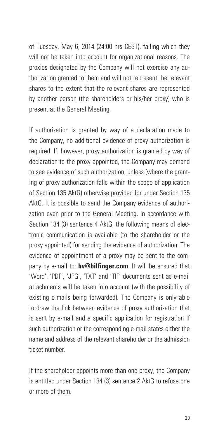of Tuesday, May 6, 2014 (24:00 hrs CEST), failing which they will not be taken into account for organizational reasons. The proxies designated by the Company will not exercise any authorization granted to them and will not represent the relevant shares to the extent that the relevant shares are represented by another person (the shareholders or his/her proxy) who is present at the General Meeting.

If authorization is granted by way of a declaration made to the Company, no additional evidence of proxy authorization is required. If, however, proxy authorization is granted by way of declaration to the proxy appointed, the Company may demand to see evidence of such authorization, unless (where the granting of proxy authorization falls within the scope of application of Section 135 AktG) otherwise provided for under Section 135 AktG. It is possible to send the Company evidence of authorization even prior to the General Meeting. In accordance with Section 134 (3) sentence 4 AktG, the following means of electronic communication is available (to the shareholder or the proxy appointed) for sending the evidence of authorization: The evidence of appointment of a proxy may be sent to the company by e-mail to: **hv@bilfinger.com**. It will be ensured that 'Word', 'PDF', 'JPG', 'TXT' and 'TIF' documents sent as e-mail attachments will be taken into account (with the possibility of existing e-mails being forwarded). The Company is only able to draw the link between evidence of proxy authorization that is sent by e-mail and a specific application for registration if such authorization or the corresponding e-mail states either the name and address of the relevant shareholder or the admission ticket number.

If the shareholder appoints more than one proxy, the Company is entitled under Section 134 (3) sentence 2 AktG to refuse one or more of them.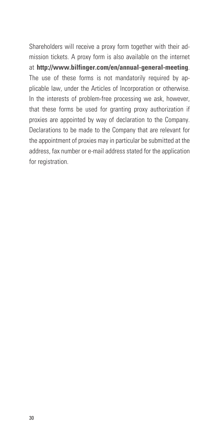Shareholders will receive a proxy form together with their admission tickets. A proxy form is also available on the internet at **http://www.bilfinger.com/en/annual-general-meeting**. The use of these forms is not mandatorily required by applicable law, under the Articles of Incorporation or otherwise. In the interests of problem-free processing we ask, however, that these forms be used for granting proxy authorization if proxies are appointed by way of declaration to the Company. Declarations to be made to the Company that are relevant for the appointment of proxies may in particular be submitted at the address, fax number or e-mail address stated for the application for registration.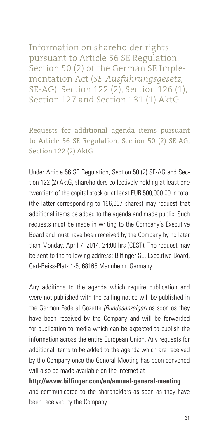Information on shareholder rights pursuant to Article 56 SE Regulation, Section 50 (2) of the German SE Implementation Act (*SE-Ausführungsgesetz,*  SE-AG), Section 122 (2), Section 126 (1), Section 127 and Section 131 (1) AktG

Requests for additional agenda items pursuant to Article 56 SE Regulation, Section 50 (2) SE-AG, Section 122 (2) AktG

Under Article 56 SE Regulation, Section 50 (2) SE-AG and Section 122 (2) AktG, shareholders collectively holding at least one twentieth of the capital stock or at least EUR 500,000.00 in total (the latter corresponding to 166,667 shares) may request that additional items be added to the agenda and made public. Such requests must be made in writing to the Company's Executive Board and must have been received by the Company by no later than Monday, April 7, 2014, 24:00 hrs (CEST). The request may be sent to the following address: Bilfinger SE, Executive Board, Carl-Reiss-Platz 1-5, 68165 Mannheim, Germany.

Any additions to the agenda which require publication and were not published with the calling notice will be published in the German Federal Gazette *(Bundesanzeiger)* as soon as they have been received by the Company and will be forwarded for publication to media which can be expected to publish the information across the entire European Union. Any requests for additional items to be added to the agenda which are received by the Company once the General Meeting has been convened will also be made available on the internet at

**http://www.bilfinger.com/en/annual-general-meeting** and communicated to the shareholders as soon as they have been received by the Company.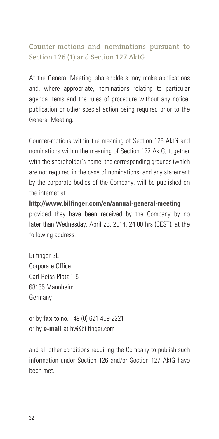### Counter-motions and nominations pursuant to Section 126 (1) and Section 127 AktG

At the General Meeting, shareholders may make applications and, where appropriate, nominations relating to particular agenda items and the rules of procedure without any notice, publication or other special action being required prior to the General Meeting.

Counter-motions within the meaning of Section 126 AktG and nominations within the meaning of Section 127 AktG, together with the shareholder's name, the corresponding grounds (which are not required in the case of nominations) and any statement by the corporate bodies of the Company, will be published on the internet at

**http://www.bilfinger.com/en/annual-general-meeting** provided they have been received by the Company by no later than Wednesday, April 23, 2014, 24:00 hrs (CEST), at the following address:

Bilfinger SE Corporate Office Carl-Reiss-Platz 1-5 68165 Mannheim Germany

or by **fax** to no. +49 (0) 621 459-2221 or by **e-mail** at hv@bilfinger.com

and all other conditions requiring the Company to publish such information under Section 126 and/or Section 127 AktG have been met.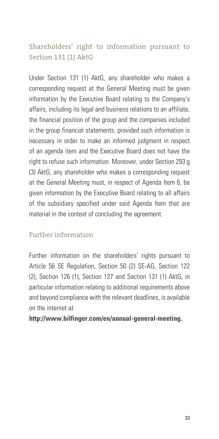### Shareholders' right to information pursuant to Section 131 (1) AktG

Under Section 131 (1) AktG, any shareholder who makes a corresponding request at the General Meeting must be given information by the Executive Board relating to the Company's affairs, including its legal and business relations to an affiliate, the financial position of the group and the companies included in the group financial statements, provided such information is necessary in order to make an informed judgment in respect of an agenda item and the Executive Board does not have the right to refuse such information. Moreover, under Section 293 g (3) AktG, any shareholder who makes a corresponding request at the General Meeting must, in respect of Agenda Item 6, be given information by the Executive Board relating to all affairs of the subsidiary specified under said Agenda Item that are material in the context of concluding the agreement.

#### Further information

Further information on the shareholders' rights pursuant to Article 56 SE Regulation, Section 50 (2) SE-AG, Section 122 (2), Section 126 (1), Section 127 and Section 131 (1) AktG, in particular information relating to additional requirements above and beyond compliance with the relevant deadlines, is available on the internet at

#### **http://www.bilfinger.com/en/annual-general-meeting.**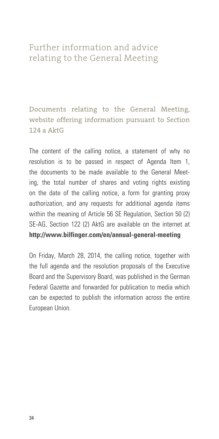### Further information and advice relating to the General Meeting

Documents relating to the General Meeting, website offering information pursuant to Section  $124a$  AktG

The content of the calling notice, a statement of why no resolution is to be passed in respect of Agenda Item 1, the documents to be made available to the General Meeting, the total number of shares and voting rights existing on the date of the calling notice, a form for granting proxy authorization, and any requests for additional agenda items within the meaning of Article 56 SE Regulation, Section 50 (2) SE-AG, Section 122 (2) AktG are available on the internet at **http://www.bilfinger.com/en/annual-general-meeting**

On Friday, March 28, 2014, the calling notice, together with the full agenda and the resolution proposals of the Executive Board and the Supervisory Board, was published in the German Federal Gazette and forwarded for publication to media which can be expected to publish the information across the entire European Union.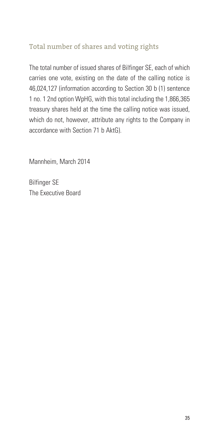#### Total number of shares and voting rights

The total number of issued shares of Bilfinger SE, each of which carries one vote, existing on the date of the calling notice is 46,024,127 (information according to Section 30 b (1) sentence 1 no. 1 2nd option WpHG, with this total including the 1,866,365 treasury shares held at the time the calling notice was issued, which do not, however, attribute any rights to the Company in accordance with Section 71 b AktG).

Mannheim, March 2014

Bilfinger SE The Executive Board